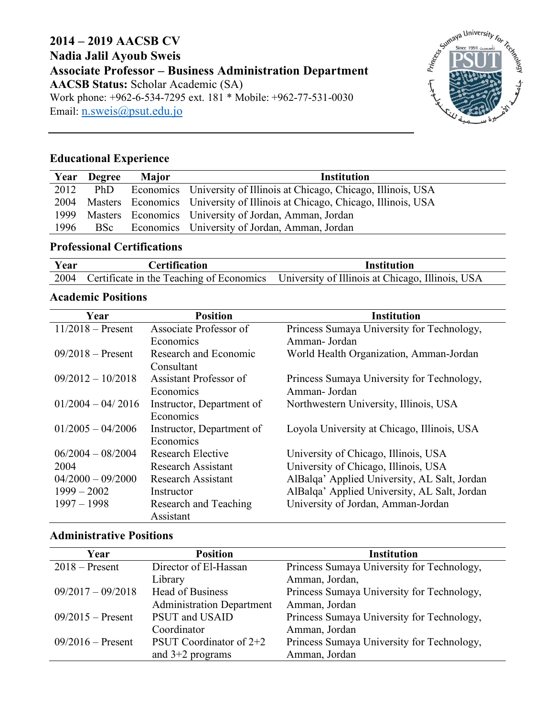## **2014 – 2019 AACSB CV Nadia Jalil Ayoub Sweis Associate Professor – Business Administration Department AACSB Status:** Scholar Academic (SA) Work phone: +962-6-534-7295 ext. 181<sup>\*</sup> Mobile: +962-77-531-0030 Email: n.sweis@psut.edu.jo



# **Educational Experience**

| Year | <b>Degree</b> | <b>Major</b> | <b>Institution</b>                                                               |
|------|---------------|--------------|----------------------------------------------------------------------------------|
| 2012 | PhD           |              | Economics University of Illinois at Chicago, Chicago, Illinois, USA              |
|      |               |              | 2004 Masters Economics University of Illinois at Chicago, Chicago, Illinois, USA |
| 1999 |               |              | Masters Economics University of Jordan, Amman, Jordan                            |
| 1996 | BSc           |              | Economics University of Jordan, Amman, Jordan                                    |

## **Professional Certifications**

| Year | <b>Certification</b> | Institution                                                                                    |
|------|----------------------|------------------------------------------------------------------------------------------------|
|      |                      | 2004 Certificate in the Teaching of Economics University of Illinois at Chicago, Illinois, USA |

#### **Academic Positions**

| Year                | <b>Position</b>           | <b>Institution</b>                           |
|---------------------|---------------------------|----------------------------------------------|
| $11/2018$ – Present | Associate Professor of    | Princess Sumaya University for Technology,   |
|                     | Economics                 | Amman-Jordan                                 |
| $09/2018$ – Present | Research and Economic     | World Health Organization, Amman-Jordan      |
|                     | Consultant                |                                              |
| $09/2012 - 10/2018$ | Assistant Professor of    | Princess Sumaya University for Technology,   |
|                     | Economics                 | Amman-Jordan                                 |
| $01/2004 - 04/2016$ | Instructor, Department of | Northwestern University, Illinois, USA       |
|                     | Economics                 |                                              |
| $01/2005 - 04/2006$ | Instructor, Department of | Loyola University at Chicago, Illinois, USA  |
|                     | Economics                 |                                              |
| $06/2004 - 08/2004$ | Research Elective         | University of Chicago, Illinois, USA         |
| 2004                | <b>Research Assistant</b> | University of Chicago, Illinois, USA         |
| $04/2000 - 09/2000$ | <b>Research Assistant</b> | AlBalqa' Applied University, AL Salt, Jordan |
| $1999 - 2002$       | Instructor                | AlBalqa' Applied University, AL Salt, Jordan |
| $1997 - 1998$       | Research and Teaching     | University of Jordan, Amman-Jordan           |
|                     | Assistant                 |                                              |

### **Administrative Positions**

| Year                | <b>Position</b>                  | <b>Institution</b>                         |
|---------------------|----------------------------------|--------------------------------------------|
| $2018$ – Present    | Director of El-Hassan            | Princess Sumaya University for Technology, |
|                     | Library                          | Amman, Jordan,                             |
| $09/2017 - 09/2018$ | <b>Head of Business</b>          | Princess Sumaya University for Technology, |
|                     | <b>Administration Department</b> | Amman, Jordan                              |
| $09/2015$ – Present | PSUT and USAID                   | Princess Sumaya University for Technology, |
|                     | Coordinator                      | Amman, Jordan                              |
| $09/2016$ – Present | PSUT Coordinator of $2+2$        | Princess Sumaya University for Technology, |
|                     | and $3+2$ programs               | Amman, Jordan                              |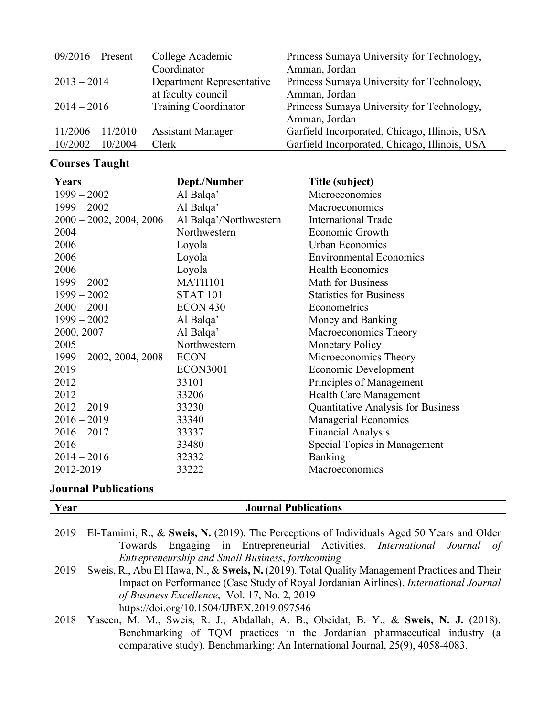| $09/2016$ – Present | College Academic            | Princess Sumaya University for Technology,    |
|---------------------|-----------------------------|-----------------------------------------------|
|                     | Coordinator                 | Amman, Jordan                                 |
| $2013 - 2014$       | Department Representative   | Princess Sumaya University for Technology,    |
|                     | at faculty council          | Amman, Jordan                                 |
| $2014 - 2016$       | <b>Training Coordinator</b> | Princess Sumaya University for Technology,    |
|                     |                             | Amman, Jordan                                 |
| $11/2006 - 11/2010$ | <b>Assistant Manager</b>    | Garfield Incorporated, Chicago, Illinois, USA |
| $10/2002 - 10/2004$ | Clerk                       | Garfield Incorporated, Chicago, Illinois, USA |

# **Courses Taught**

| Years                      | Dept./Number           | Title (subject)                           |
|----------------------------|------------------------|-------------------------------------------|
| $1999 - 2002$              | Al Balqa'              | Microeconomics                            |
| $1999 - 2002$              | Al Balqa'              | Macroeconomics                            |
| $2000 - 2002$ , 2004, 2006 | Al Balqa'/Northwestern | <b>International Trade</b>                |
| 2004                       | Northwestern           | Economic Growth                           |
| 2006                       | Loyola                 | <b>Urban Economics</b>                    |
| 2006                       | Loyola                 | <b>Environmental Economics</b>            |
| 2006                       | Loyola                 | <b>Health Economics</b>                   |
| $1999 - 2002$              | MATH101                | Math for Business                         |
| $1999 - 2002$              | <b>STAT 101</b>        | <b>Statistics for Business</b>            |
| $2000 - 2001$              | ECON 430               | Econometrics                              |
| $1999 - 2002$              | Al Balqa'              | Money and Banking                         |
| 2000, 2007                 | Al Balqa'              | Macroeconomics Theory                     |
| 2005                       | Northwestern           | <b>Monetary Policy</b>                    |
| $1999 - 2002$ , 2004, 2008 | <b>ECON</b>            | Microeconomics Theory                     |
| 2019                       | <b>ECON3001</b>        | Economic Development                      |
| 2012                       | 33101                  | Principles of Management                  |
| 2012                       | 33206                  | <b>Health Care Management</b>             |
| $2012 - 2019$              | 33230                  | <b>Quantitative Analysis for Business</b> |
| $2016 - 2019$              | 33340                  | Managerial Economics                      |
| $2016 - 2017$              | 33337                  | <b>Financial Analysis</b>                 |
| 2016                       | 33480                  | Special Topics in Management              |
| $2014 - 2016$              | 32332                  | <b>Banking</b>                            |
| 2012-2019                  | 33222                  | Macroeconomics                            |

# **Journal Publications**

| Year | <b>Journal Publications</b>                                                                    |
|------|------------------------------------------------------------------------------------------------|
|      |                                                                                                |
|      | 2019 El-Tamimi, R., & Sweis, N. (2019). The Perceptions of Individuals Aged 50 Years and Older |
|      | Towards Engaging in Entrepreneurial Activities. International Journal of                       |
|      | Entrepreneurship and Small Business, forthcoming                                               |
| 2019 | Sweis, R., Abu El Hawa, N., & Sweis, N. (2019). Total Quality Management Practices and Their   |
|      | Impact on Performance (Case Study of Royal Jordanian Airlines). <i>International Journal</i>   |
|      | of Business Excellence, Vol. 17, No. 2, 2019                                                   |
|      | https://doi.org/10.1504/IJBEX.2019.097546                                                      |
| 2018 | Yaseen, M. M., Sweis, R. J., Abdallah, A. B., Obeidat, B. Y., & Sweis, N. J. (2018).           |
|      | Benchmarking of TQM practices in the Jordanian pharmaceutical industry (a                      |
|      | comparative study). Benchmarking: An International Journal, 25(9), 4058-4083.                  |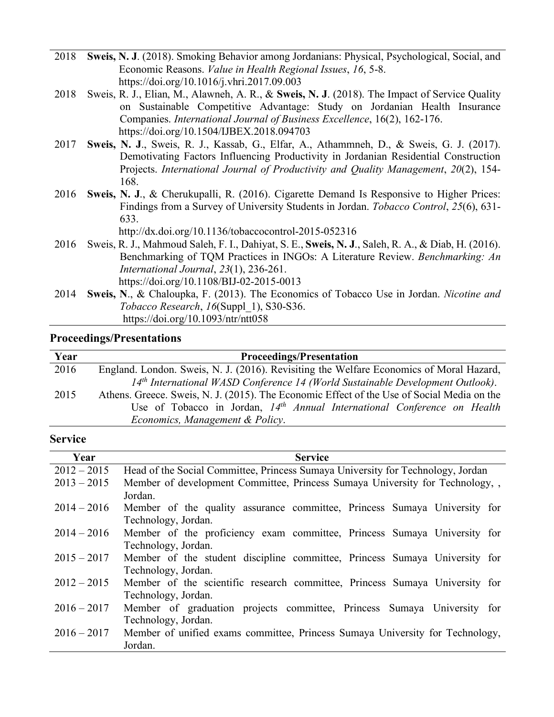- 2018 **Sweis, N. J**. (2018). Smoking Behavior among Jordanians: Physical, Psychological, Social, and Economic Reasons. *Value in Health Regional Issues*, *16*, 5-8. https://doi.org/10.1016/j.vhri.2017.09.003
- 2018 Sweis, R. J., Elian, M., Alawneh, A. R., & **Sweis, N. J**. (2018). The Impact of Service Quality on Sustainable Competitive Advantage: Study on Jordanian Health Insurance Companies. *International Journal of Business Excellence*, 16(2), 162-176. https://doi.org/10.1504/IJBEX.2018.094703
- 2017 **Sweis, N. J**., Sweis, R. J., Kassab, G., Elfar, A., Athammneh, D., & Sweis, G. J. (2017). Demotivating Factors Influencing Productivity in Jordanian Residential Construction Projects. *International Journal of Productivity and Quality Management*, *20*(2), 154- 168.
- 2016 **Sweis, N. J**., & Cherukupalli, R. (2016). Cigarette Demand Is Responsive to Higher Prices: Findings from a Survey of University Students in Jordan. *Tobacco Control*, *25*(6), 631- 633.

http://dx.doi.org/10.1136/tobaccocontrol-2015-052316

- 2016 Sweis, R. J., Mahmoud Saleh, F. I., Dahiyat, S. E., **Sweis, N. J**., Saleh, R. A., & Diab, H. (2016). Benchmarking of TQM Practices in INGOs: A Literature Review. *Benchmarking: An International Journal*, *23*(1), 236-261. https://doi.org/10.1108/BIJ-02-2015-0013
- 2014 **Sweis, N**., & Chaloupka, F. (2013). The Economics of Tobacco Use in Jordan. *Nicotine and Tobacco Research*, *16*(Suppl\_1), S30-S36. https://doi.org/10.1093/ntr/ntt058

#### **Proceedings/Presentations**

| Year | <b>Proceedings/Presentation</b>                                                            |
|------|--------------------------------------------------------------------------------------------|
| 2016 | England. London. Sweis, N. J. (2016). Revisiting the Welfare Economics of Moral Hazard,    |
|      | 14th International WASD Conference 14 (World Sustainable Development Outlook).             |
| 2015 | Athens. Greece. Sweis, N. J. (2015). The Economic Effect of the Use of Social Media on the |
|      | Use of Tobacco in Jordan, $14th$ Annual International Conference on Health                 |
|      | Economics, Management & Policy.                                                            |

#### **Service**

| Year          | <b>Service</b>                                                                                     |
|---------------|----------------------------------------------------------------------------------------------------|
| $2012 - 2015$ | Head of the Social Committee, Princess Sumaya University for Technology, Jordan                    |
| $2013 - 2015$ | Member of development Committee, Princess Sumaya University for Technology,<br>Jordan.             |
| $2014 - 2016$ | Member of the quality assurance committee, Princess Sumaya University for<br>Technology, Jordan.   |
| $2014 - 2016$ | Member of the proficiency exam committee, Princess Sumaya University for<br>Technology, Jordan.    |
| $2015 - 2017$ | Member of the student discipline committee, Princess Sumaya University for<br>Technology, Jordan.  |
| $2012 - 2015$ | Member of the scientific research committee, Princess Sumaya University for<br>Technology, Jordan. |
| $2016 - 2017$ | Member of graduation projects committee, Princess Sumaya University for<br>Technology, Jordan.     |
| $2016 - 2017$ | Member of unified exams committee, Princess Sumaya University for Technology,<br>Jordan.           |